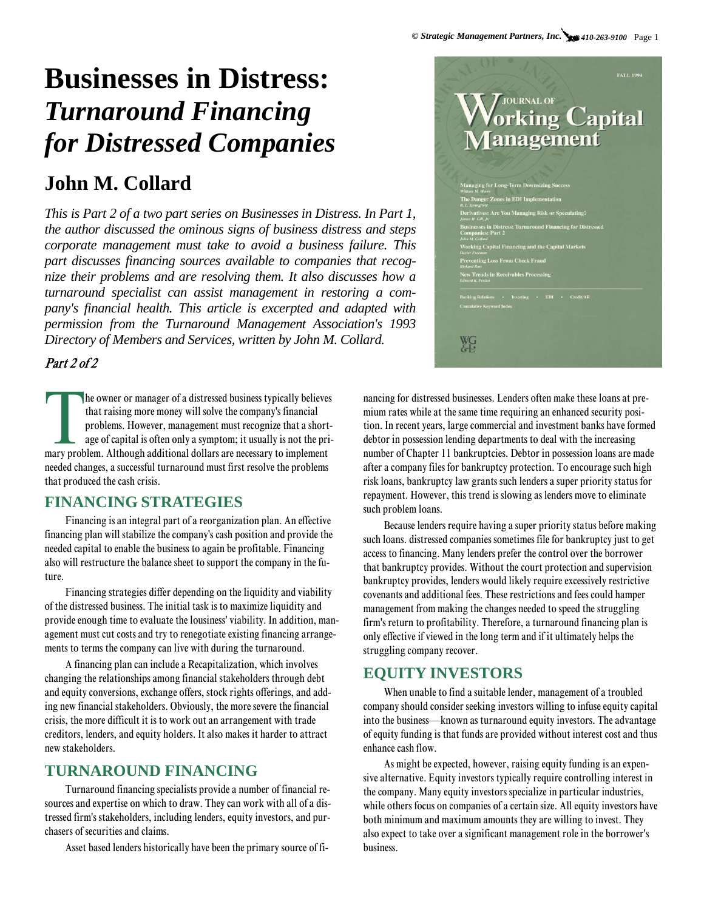# **Businesses in Distress:**  *Turnaround Financing for Distressed Companies*

# **John M. Collard**

*This is Part 2 of a two part series on Businesses in Distress. In Part 1, the author discussed the ominous signs of business distress and steps corporate management must take to avoid a business failure. This part discusses financing sources available to companies that recognize their problems and are resolving them. It also discusses how a turnaround specialist can assist management in restoring a company's financial health. This article is excerpted and adapted with permission from the Turnaround Management Association's 1993 Directory of Members and Services, written by John M. Collard.*

### Part 2 of 2

The owner or manager of a distressed business typically believes<br>that raising more money will solve the company's financial<br>problems. However, management must recognize that a short<br>age of capital is often only a symptom; he owner or manager of a distressed business typically believes that raising more money will solve the company's financial problems. However, management must recognize that a shortage of capital is often only a symptom; it usually is not the prineeded changes, a successful turnaround must first resolve the problems that produced the cash crisis.

#### **FINANCING STRATEGIES**

Financing is an integral part of a reorganization plan. An effective financing plan will stabilize the company's cash position and provide the needed capital to enable the business to again be profitable. Financing also will restructure the balance sheet to support the company in the future.

Financing strategies differ depending on the liquidity and viability of the distressed business. The initial task is to maximize liquidity and provide enough time to evaluate the lousiness' viability. In addition, management must cut costs and try to renegotiate existing financing arrangements to terms the company can live with during the turnaround.

A financing plan can include a Recapitalization, which involves changing the relationships among financial stakeholders through debt and equity conversions, exchange offers, stock rights offerings, and adding new financial stakeholders. Obviously, the more severe the financial crisis, the more difficult it is to work out an arrangement with trade creditors, lenders, and equity holders. It also makes it harder to attract new stakeholders.

# **TURNAROUND FINANCING**

Turnaround financing specialists provide a number of financial resources and expertise on which to draw. They can work with all of a distressed firm's stakeholders, including lenders, equity investors, and purchasers of securities and claims.

Asset based lenders historically have been the primary source of fi-



nancing for distressed businesses. Lenders often make these loans at premium rates while at the same time requiring an enhanced security position. In recent years, large commercial and investment banks have formed debtor in possession lending departments to deal with the increasing number of Chapter 11 bankruptcies. Debtor in possession loans are made after a company files for bankruptcy protection. To encourage such high risk loans, bankruptcy law grants such lenders a super priority status for repayment. However, this trend is slowing as lenders move to eliminate such problem loans.

Because lenders require having a super priority status before making such loans. distressed companies sometimes file for bankruptcy just to get access to financing. Many lenders prefer the control over the borrower that bankruptcy provides. Without the court protection and supervision bankruptcy provides, lenders would likely require excessively restrictive covenants and additional fees. These restrictions and fees could hamper management from making the changes needed to speed the struggling firm's return to profitability. Therefore, a turnaround financing plan is only effective if viewed in the long term and if it ultimately helps the struggling company recover.

## **EQUITY INVESTORS**

When unable to find a suitable lender, management of a troubled company should consider seeking investors willing to infuse equity capital into the business—known as turnaround equity investors. The advantage of equity funding is that funds are provided without interest cost and thus enhance cash flow.

As might be expected, however, raising equity funding is an expensive alternative. Equity investors typically require controlling interest in the company. Many equity investors specialize in particular industries, while others focus on companies of a certain size. All equity investors have both minimum and maximum amounts they are willing to invest. They also expect to take over a significant management role in the borrower's business.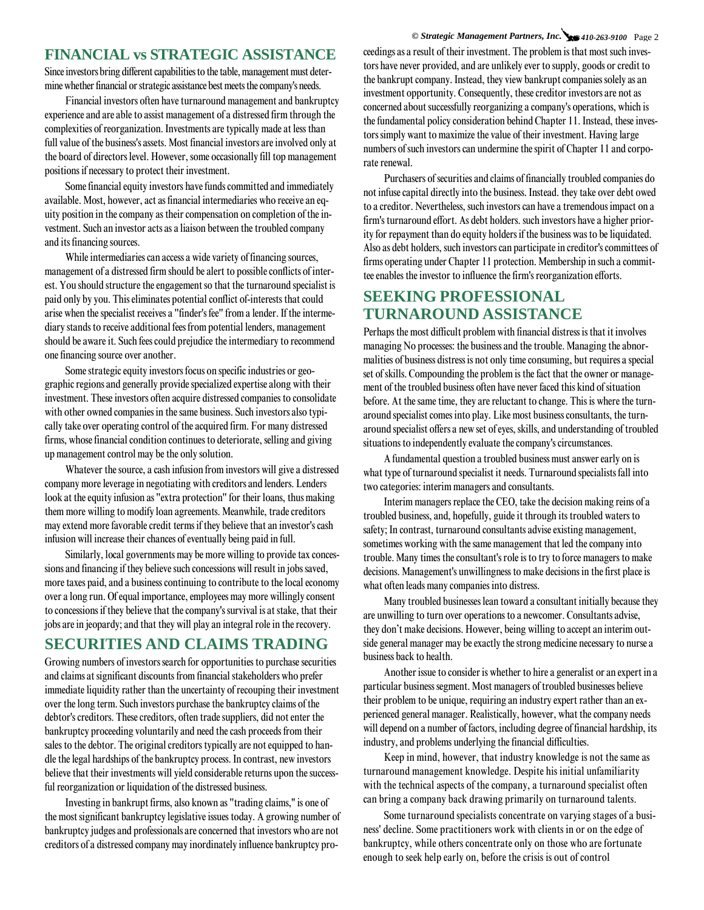#### **FINANCIAL vs STRATEGIC ASSISTANCE**

Since investors bring different capabilities to the table, management must determine whether financial or strategic assistance best meets the company's needs.

Financial investors often have turnaround management and bankruptcy experience and are able to assist management of a distressed firm through the complexities of reorganization. Investments are typically made at less than full value of the business's assets. Most financial investors are involved only at the board of directors level. However, some occasionally fill top management positions if necessary to protect their investment.

Some financial equity investors have funds committed and immediately available. Most, however, act as financial intermediaries who receive an equity position in the company as their compensation on completion of the investment. Such an investor acts as a liaison between the troubled company and its financing sources.

While intermediaries can access a wide variety of financing sources, management of a distressed firm should be alert to possible conflicts of interest. You should structure the engagement so that the turnaround specialist is paid only by you. This eliminates potential conflict of-interests that could arise when the specialist receives a "finder's fee" from a lender. If the intermediary stands to receive additional fees from potential lenders, management should be aware it. Such fees could prejudice the intermediary to recommend one financing source over another.

Some strategic equity investors focus on specific industries or geographic regions and generally provide specialized expertise along with their investment. These investors often acquire distressed companies to consolidate with other owned companies in the same business. Such investors also typically take over operating control of the acquired firm. For many distressed firms, whose financial condition continues to deteriorate, selling and giving up management control may be the only solution.

Whatever the source, a cash infusion from investors will give a distressed company more leverage in negotiating with creditors and lenders. Lenders look at the equity infusion as "extra protection" for their loans, thus making them more willing to modify loan agreements. Meanwhile, trade creditors may extend more favorable credit terms if they believe that an investor's cash infusion will increase their chances of eventually being paid in full.

Similarly, local governments may be more willing to provide tax concessions and financing if they believe such concessions will result in jobs saved, more taxes paid, and a business continuing to contribute to the local economy over a long run. Of equal importance, employees may more willingly consent to concessions if they believe that the company's survival is at stake, that their jobs are in jeopardy; and that they will play an integral role in the recovery.

#### **SECURITIES AND CLAIMS TRADING**

Growing numbers of investors search for opportunities to purchase securities and claims at significant discounts from financial stakeholders who prefer immediate liquidity rather than the uncertainty of recouping their investment over the long term. Such investors purchase the bankruptcy claims of the debtor's creditors. These creditors, often trade suppliers, did not enter the bankruptcy proceeding voluntarily and need the cash proceeds from their sales to the debtor. The original creditors typically are not equipped to handle the legal hardships of the bankruptcy process. In contrast, new investors believe that their investments will yield considerable returns upon the successful reorganization or liquidation of the distressed business.

Investing in bankrupt firms, also known as "trading claims,'' is one of the most significant bankruptcy legislative issues today. A growing number of bankruptcy judges and professionals are concerned that investors who are not creditors of a distressed company may inordinately influence bankruptcy pro-

*© Strategic Management Partners, Inc. 410-263-9100* Page 2 ceedings as a result of their investment. The problem is that most such investors have never provided, and are unlikely ever to supply, goods or credit to the bankrupt company. Instead, they view bankrupt companies solely as an investment opportunity. Consequently, these creditor investors are not as concerned about successfully reorganizing a company's operations, which is the fundamental policy consideration behind Chapter 11. Instead, these investors simply want to maximize the value of their investment. Having large numbers of such investors can undermine the spirit of Chapter 11 and corporate renewal.

Purchasers of securities and claims of financially troubled companies do not infuse capital directly into the business. Instead. they take over debt owed to a creditor. Nevertheless, such investors can have a tremendous impact on a firm's turnaround effort. As debt holders. such investors have a higher priority for repayment than do equity holders if the business was to be liquidated. Also as debt holders, such investors can participate in creditor's committees of firms operating under Chapter 11 protection. Membership in such a committee enables the investor to influence the firm's reorganization efforts.

#### **SEEKING PROFESSIONAL TURNAROUND ASSISTANCE**

Perhaps the most difficult problem with financial distress is that it involves managing No processes: the business and the trouble. Managing the abnormalities of business distress is not only time consuming, but requires a special set of skills. Compounding the problem is the fact that the owner or management of the troubled business often have never faced this kind of situation before. At the same time, they are reluctant to change. This is where the turnaround specialist comes into play. Like most business consultants, the turnaround specialist offers a new set of eyes, skills, and understanding of troubled situations to independently evaluate the company's circumstances.

A fundamental question a troubled business must answer early on is what type of turnaround specialist it needs. Turnaround specialists fall into two categories: interim managers and consultants.

Interim managers replace the CEO, take the decision making reins of a troubled business, and, hopefully, guide it through its troubled waters to safety; In contrast, turnaround consultants advise existing management, sometimes working with the same management that led the company into trouble. Many times the consultant's role is to try to force managers to make decisions. Management's unwillingness to make decisions in the first place is what often leads many companies into distress.

Many troubled businesses lean toward a consultant initially because they are unwilling to turn over operations to a newcomer. Consultants advise, they don't make decisions. However, being willing to accept an interim outside general manager may be exactly the strong medicine necessary to nurse a business back to health.

Another issue to consider is whether to hire a generalist or an expert in a particular business segment. Most managers of troubled businesses believe their problem to be unique, requiring an industry expert rather than an experienced general manager. Realistically, however, what the company needs will depend on a number of factors, including degree of financial hardship, its industry, and problems underlying the financial difficulties.

Keep in mind, however, that industry knowledge is not the same as turnaround management knowledge. Despite his initial unfamiliarity with the technical aspects of the company, a turnaround specialist often can bring a company back drawing primarily on turnaround talents.

Some turnaround specialists concentrate on varying stages of a business' decline. Some practitioners work with clients in or on the edge of bankruptcy, while others concentrate only on those who are fortunate enough to seek help early on, before the crisis is out of control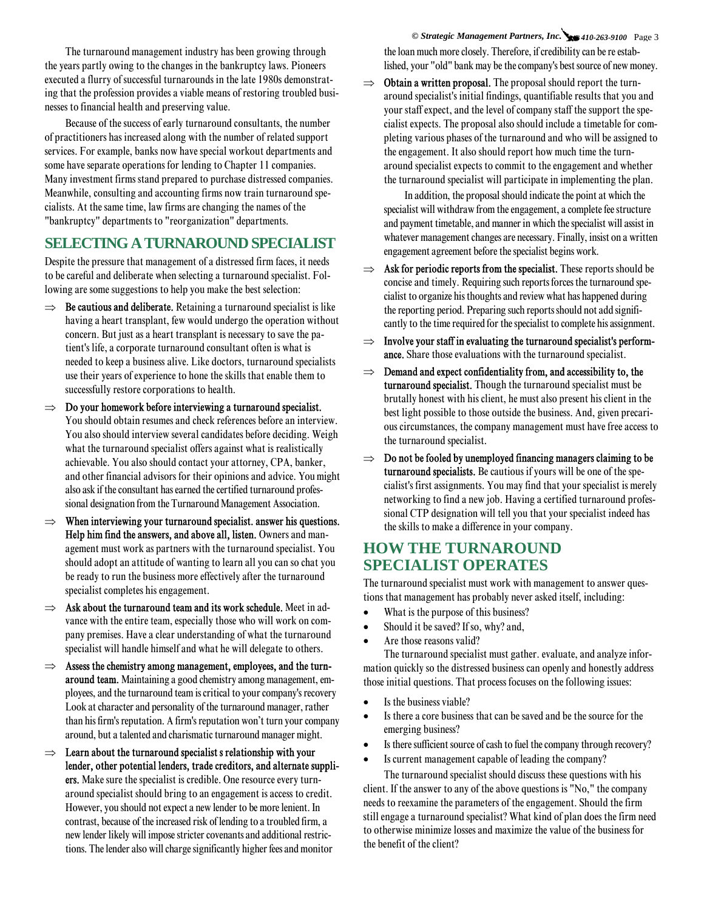The turnaround management industry has been growing through the years partly owing to the changes in the bankruptcy laws. Pioneers executed a flurry of successful turnarounds in the late 1980s demonstrating that the profession provides a viable means of restoring troubled businesses to financial health and preserving value.

Because of the success of early turnaround consultants, the number of practitioners has increased along with the number of related support services. For example, banks now have special workout departments and some have separate operations for lending to Chapter 11 companies. Many investment firms stand prepared to purchase distressed companies. Meanwhile, consulting and accounting firms now train turnaround specialists. At the same time, law firms are changing the names of the "bankruptcy" departments to "reorganization" departments.

#### **SELECTING A TURNAROUND SPECIALIST**

Despite the pressure that management of a distressed firm faces, it needs to be careful and deliberate when selecting a turnaround specialist. Following are some suggestions to help you make the best selection:

- $\Rightarrow$  **Be cautious and deliberate.** Retaining a turnaround specialist is like having a heart transplant, few would undergo the operation without concern. But just as a heart transplant is necessary to save the patient's life, a corporate turnaround consultant often is what is needed to keep a business alive. Like doctors, turnaround specialists use their years of experience to hone the skills that enable them to successfully restore corporations to health.
- $\Rightarrow$  Do your homework before interviewing a turnaround specialist. You should obtain resumes and check references before an interview. You also should interview several candidates before deciding. Weigh what the turnaround specialist offers against what is realistically achievable. You also should contact your attorney, CPA, banker, and other financial advisors for their opinions and advice. You might also ask if the consultant has earned the certified turnaround professional designation from the Turnaround Management Association.
- When interviewing your turnaround specialist. answer his questions. Help him find the answers, and above all, listen. Owners and management must work as partners with the turnaround specialist. You should adopt an attitude of wanting to learn all you can so chat you be ready to run the business more effectively after the turnaround specialist completes his engagement.
- $\Rightarrow$  Ask about the turnaround team and its work schedule. Meet in advance with the entire team, especially those who will work on company premises. Have a clear understanding of what the turnaround specialist will handle himself and what he will delegate to others.
- $\Rightarrow$  Assess the chemistry among management, employees, and the turnaround team. Maintaining a good chemistry among management, employees, and the turnaround team is critical to your company's recovery Look at character and personality of the turnaround manager, rather than his firm's reputation. A firm's reputation won't turn your company around, but a talented and charismatic turnaround manager might.
- $\Rightarrow$  Learn about the turnaround specialist s relationship with your lender, other potential lenders, trade creditors, and alternate suppliers. Make sure the specialist is credible. One resource every turnaround specialist should bring to an engagement is access to credit. However, you should not expect a new lender to be more lenient. In contrast, because of the increased risk of lending to a troubled firm, a new lender likely will impose stricter covenants and additional restrictions. The lender also will charge significantly higher fees and monitor

*© Strategic Management Partners, Inc. 410-263-9100* Page 3 the loan much more closely. Therefore, if credibility can be re established, your "old" bank may be the company's best source of new money.

 $\implies$  **Obtain a written proposal.** The proposal should report the turnaround specialist's initial findings, quantifiable results that you and your staff expect, and the level of company staff the support the specialist expects. The proposal also should include a timetable for completing various phases of the turnaround and who will be assigned to the engagement. It also should report how much time the turnaround specialist expects to commit to the engagement and whether the turnaround specialist will participate in implementing the plan.

In addition, the proposal should indicate the point at which the specialist will withdraw from the engagement, a complete fee structure and payment timetable, and manner in which the specialist will assist in whatever management changes are necessary. Finally, insist on a written engagement agreement before the specialist begins work.

- $\Rightarrow$  Ask for periodic reports from the specialist. These reports should be concise and timely. Requiring such reports forces the turnaround specialist to organize his thoughts and review what has happened during the reporting period. Preparing such reports should not add significantly to the time required for the specialist to complete his assignment.
- $\Rightarrow$  Involve your staff in evaluating the turnaround specialist's performance. Share those evaluations with the turnaround specialist.
- $\Rightarrow$  Demand and expect confidentiality from, and accessibility to, the turnaround specialist. Though the turnaround specialist must be brutally honest with his client, he must also present his client in the best light possible to those outside the business. And, given precarious circumstances, the company management must have free access to the turnaround specialist.
- $\Rightarrow$  Do not be fooled by unemployed financing managers claiming to be turnaround specialists. Be cautious if yours will be one of the specialist's first assignments. You may find that your specialist is merely networking to find a new job. Having a certified turnaround professional CTP designation will tell you that your specialist indeed has the skills to make a difference in your company.

# **HOW THE TURNAROUND SPECIALIST OPERATES**

The turnaround specialist must work with management to answer questions that management has probably never asked itself, including:

- What is the purpose of this business?
- Should it be saved? If so, why? and,
- Are those reasons valid?

The turnaround specialist must gather. evaluate, and analyze information quickly so the distressed business can openly and honestly address those initial questions. That process focuses on the following issues:

- Is the business viable?
- Is there a core business that can be saved and be the source for the emerging business?
- Is there sufficient source of cash to fuel the company through recovery?
- Is current management capable of leading the company?

The turnaround specialist should discuss these questions with his client. If the answer to any of the above questions is "No," the company needs to reexamine the parameters of the engagement. Should the firm still engage a turnaround specialist? What kind of plan does the firm need to otherwise minimize losses and maximize the value of the business for the benefit of the client?